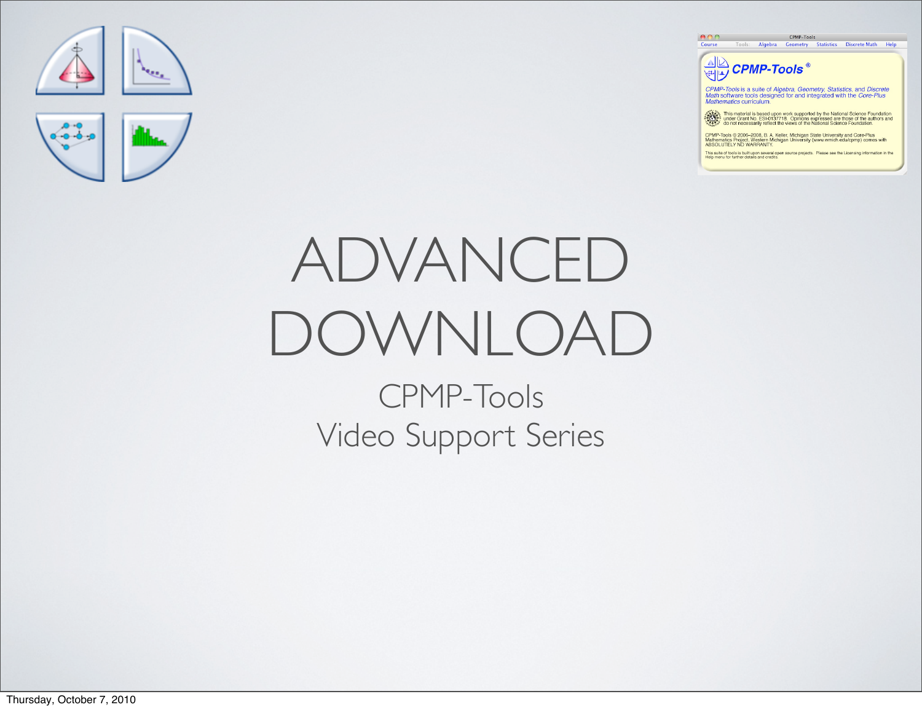

## ADVANCED DOWNLOAD CPMP-Tools Video Support Series

 $000$ Course Tools: Algebra Geometry Statistics Discrete Math Help

**AD** CPMP-Tools<sup>®</sup>

CPMP-Tools is a suite of Algebra, Geometry, Statistics, and Discrete Math software tools designed for and integrated with the Core-Plus Mathematics curriculum.

CPMP-Tools

This material is based upon work supported by the National Science Foundation<br>ALCO : under Grant No. ESI-0137718. Opinions expressed are those of the authors and<br>CARCO do not necessarily reflect the views of the National S

CPMP-Tools © 2006–2008, B. A. Keller, Michigan State University and Core-Plus<br>Mathematics Project. Western Michigan University (www.wmich.edu/cpmp) comes with<br>ABSOLUTELY NO WARRANTY.

This suite of tools is built upon several open source projects. Please see the Licensing information in the<br>Help menu for further details and credits.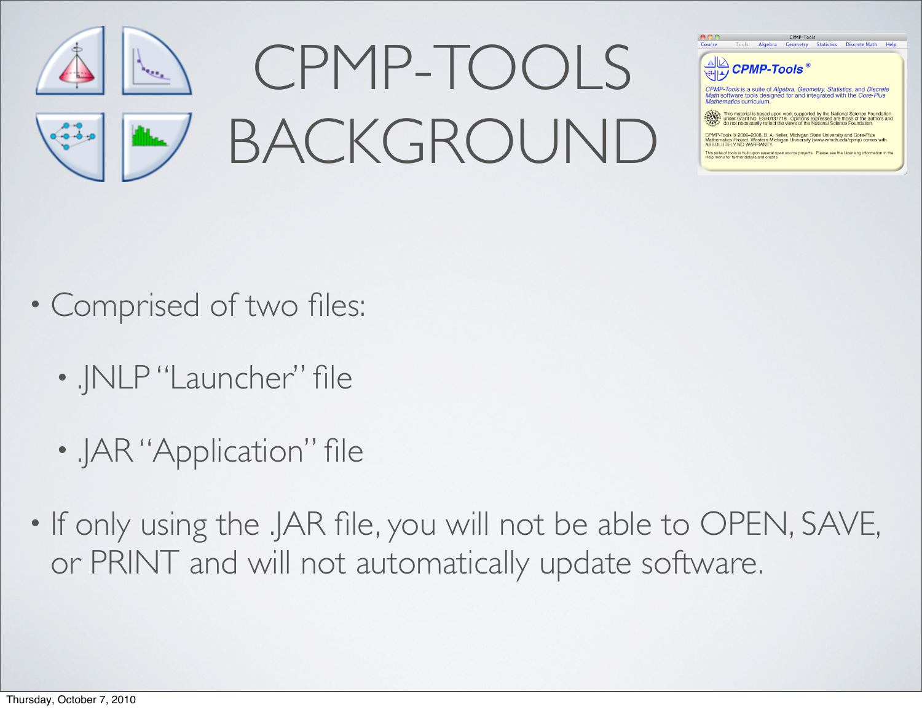



.<br>This material is based upon work supported by the National Science Foundation<br>under Grant No. ESI-0137718. Opinions expressed are those of the authors and<br>do not necessarily reflect the views of the National Science Fou

CPMP-Tools © 2006-2008, B. A. Keller, Michigan State University and Core-Plus<br>Mathematics Project, Western Michigan University (www.wmich.edu/cpmp) comes with<br>ABSOLUTELY NO WARRANTY.

This suite of tools is built upon several open source projects. Please see the Licensing information in the Help menu for further details and credits.

- Comprised of two files:
	- . INLP "Launcher" file
	- .JAR "Application" file
- If only using the .JAR file, you will not be able to OPEN, SAVE, or PRINT and will not automatically update software.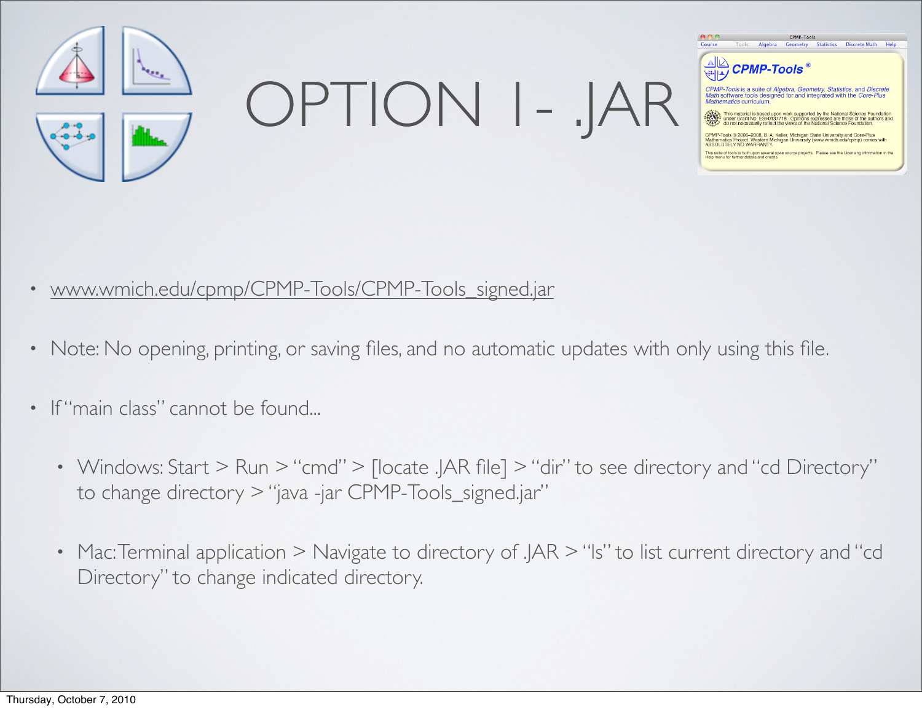

OPTION 1- .JAR



CPMP-Tools is a suite of Algebra, Geometry, Statistics, and Discrete<br>Math software tools designed for and integrated with the Core-Plus

.<br>bols © 2006–2008, B. A. Keller, Michigan State University and Core-Plus<br>ttics Project, Western Michigan University (www.wmich.edu/cpmp) come

This suite of tools is built upon several open source projects. Please see the Licer

- [www.wmich.edu/cpmp/CPMP-Tools/CPMP-Tools\\_signed.jar](http://www.wmich.edu/cpmp/CPMP-Tools/CPMP-Tools_signed.jar)
- Note: No opening, printing, or saving files, and no automatic updates with only using this file.
- If "main class" cannot be found...
	- Windows: Start > Run > "cmd" > [locate .JAR file] > "dir" to see directory and "cd Directory" to change directory > "java -jar CPMP-Tools\_signed.jar"
	- Mac: Terminal application > Navigate to directory of .JAR > "Is" to list current directory and "cd Directory" to change indicated directory.